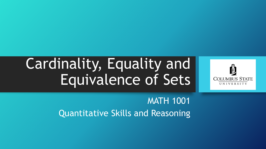# Cardinality, Equality and Equivalence of Sets



MATH 1001 Quantitative Skills and Reasoning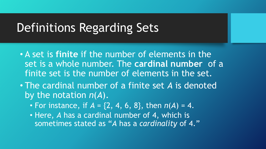- A set is **finite** if the number of elements in the set is a whole number. The **cardinal number** of a finite set is the number of elements in the set.
- The cardinal number of a finite set *A* is denoted by the notation *n*(*A*).
	- For instance, if  $A = \{2, 4, 6, 8\}$ , then  $n(A) = 4$ .
	- Here, *A* has a cardinal number of 4, which is sometimes stated as "*A* has a *cardinality* of 4."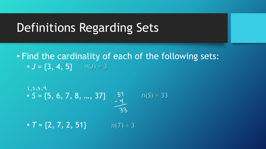#### • Find the cardinality of each of the following sets: •  $J = \{3, 4, 5\}$   $n(J) = 3$

$$
S = \{5, 6, 7, 8, ..., 37\} \qquad \begin{array}{c} 31 \\ -y \\ -4 \end{array}
$$
\n
$$
T = \{2, 7, 2, 51\} \qquad n(T) = 3
$$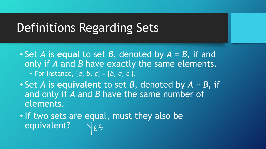- Set *A* is **equal** to set *B*, denoted by *A* = *B*, if and only if *A* and *B* have exactly the same elements. • For instance,  ${a, b, c} = {b, a, c}$ .
- Set *A* is **equivalent** to set *B*, denoted by *A* ~ *B*, if and only if *A* and *B* have the same number of elements.
- If two sets are equal, must they also be equivalent?  $\sqrt{25}$